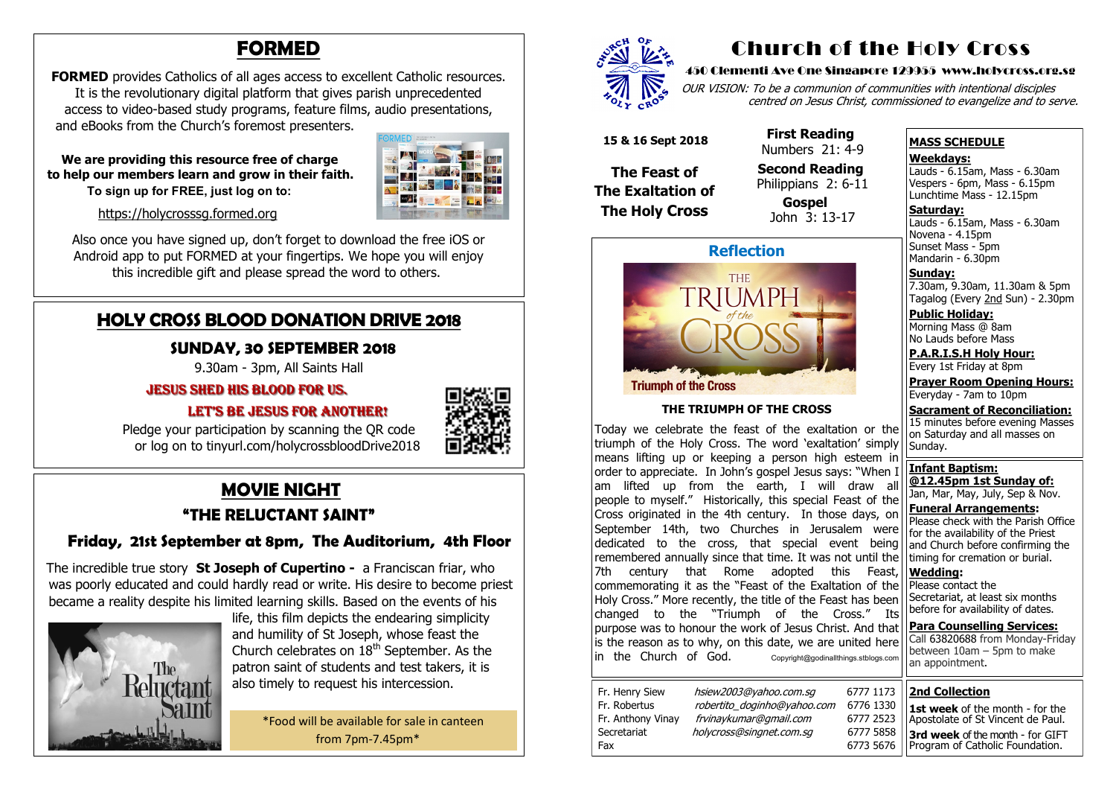# **MOVIE NIGHT**

#### **"THE RELUCTANT SAINT"**

#### **Friday, 21st September at 8pm, The Auditorium, 4th Floor**

The incredible true story **St Joseph of Cupertino -** a Franciscan friar, who was poorly educated and could hardly read or write. His desire to become priest became a reality despite his limited learning skills. Based on the events of his



 life, this film depicts the endearing simplicity and humility of St Joseph, whose feast the Church celebrates on  $18<sup>th</sup>$  September. As the patron saint of students and test takers, it is also timely to request his intercession.

**FORMED** provides Catholics of all ages access to excellent Catholic resources. It is the revolutionary digital platform that gives parish unprecedented access to video-based study programs, feature films, audio presentations, and eBooks from the Church's foremost presenters.

> \*Food will be available for sale in canteen from 7pm-7.45pm\*



# **HOLY CROSS BLOOD DONATION DRIVE 2018**

#### **SUNDAY, 30 SEPTEMBER 2018**

9.30am - 3pm, All Saints Hall

#### Jesus shed his blood FOR us.

#### LET'S BE JESUS FOR ANOTHER!



OUR VISION: To be a communion of communities with intentional disciples centred on Jesus Christ, commissioned to evangelize and to serve.

 Pledge your participation by scanning the QR code or log on to tinyurl.com/holycrossbloodDrive2018

# **FORMED**

**Saturday:** Lauds - 6.15am, Mass - 6.30am Novena - 4.15pm Sunset Mass - 5pm Mandarin - 6.30pm

 **We are providing this resource free of charge to help our members learn and grow in their faith. To sign up for FREE, just log on to:** 



[https://holycrosssg.formed.org](https://holycrosssg.formed.org/)

Also once you have signed up, don't forget to download the free iOS or Android app to put FORMED at your fingertips. We hope you will enjoy this incredible gift and please spread the word to others.

> Today we celebrate the feast of the exaltation or the triumph of the Holy Cross. The word 'exaltation' simply means lifting up or keeping a person high esteem in order to appreciate. In John's gospel Jesus says: "When I am lifted up from the earth, I will draw all people to myself." Historically, this special Feast of the Cross originated in the 4th century. In those days, on September 14th, two Churches in Jerusalem were dedicated to the cross, that special event being remembered annually since that time. It was not until the 7th century that Rome adopted this Feast, commemorating it as the "Feast of the Exaltation of the Holy Cross." More recently, the title of the Feast has been changed to the "Triumph of the Cross." Its purpose was to honour the work of Jesus Christ. And that is the reason as to why, on this date, we are united here in the Church of God. Copyright@godinallthings.stblogs.com

# Church of the Holy Cross

#### 450 Clementi Ave One Singapore 129955 www.holycross.org.sg



| 6777 1173 |  |
|-----------|--|
| 6776 1330 |  |
| 6777 2523 |  |
| 6777 5858 |  |
| 6773 5676 |  |

Fax 6773 5676

Fr. Henry Siew hsiew2003@yahoo.com.sg Fr. Robertus *robertito doginho@yahoo.com* Fr. Anthony Vinay frvinaykumar@gmail.com Secretariat holycross@singnet.com.sq

#### **MASS SCHEDULE**

#### **Weekdays:**

Lauds - 6.15am, Mass - 6.30am Vespers - 6pm, Mass - 6.15pm Lunchtime Mass - 12.15pm

**Sunday:** 7.30am, 9.30am, 11.30am & 5pm Tagalog (Every 2nd Sun) - 2.30pm

**Public Holiday:**  Morning Mass @ 8am No Lauds before Mass

**P.A.R.I.S.H Holy Hour:** Every 1st Friday at 8pm

**Prayer Room Opening Hours:** Everyday - 7am to 10pm

**Sacrament of Reconciliation:** 15 minutes before evening Masses on Saturday and all masses on Sunday.

**Infant Baptism: @12.45pm 1st Sunday of:** Jan, Mar, May, July, Sep & Nov.

**Funeral Arrangements:**  Please check with the Parish Office for the availability of the Priest and Church before confirming the timing for cremation or burial.

**Wedding:**  Please contact the Secretariat, at least six months before for availability of dates.

**Para Counselling Services:** Call [63820688](tel:+6563820688) from Monday-Friday between  $10$ am – 5pm to make an appointment.



**Triumph of the Cross** 

#### **THE TRIUMPH OF THE CROSS**

 **15 & 16 Sept 2018**

**The Feast of The Exaltation of The Holy Cross**

 **First Reading**  Numbers 21: 4-9

 **Second Reading** Philippians 2: 6-11

> **Gospel** John 3: 13-17

# **2nd Collection**

**1st week** of the month - for the Apostolate of St Vincent de Paul. **3rd week** of the month - for GIFT Program of Catholic Foundation.